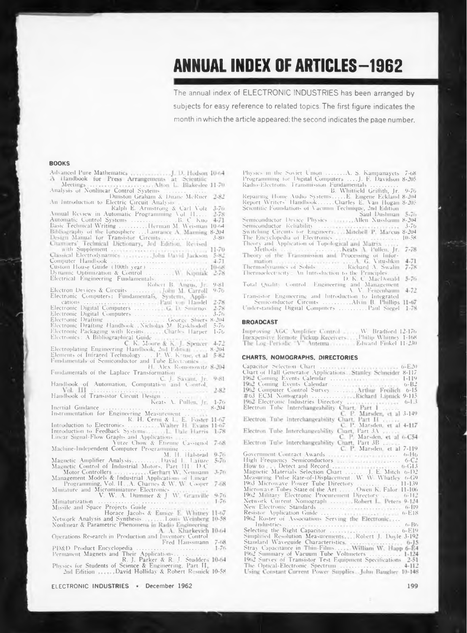# **ANNUAL INDEX OF ARTICLES-1962**

The annual index of ELECTRONIC INDUSTRIES has been arranged by subjects for easy reference to related topics. The first figure indicates the month in which the article appeared; the second indicates the page number.

#### **BOOKS**

| Meetings Monlinear Control Systems (Mon L. Blakeslee 11-70)<br>Analysis of Nonlinear Control Systems                                                                                                                                         |           |
|----------------------------------------------------------------------------------------------------------------------------------------------------------------------------------------------------------------------------------------------|-----------|
| Dunston Graham & Duane McRuer                                                                                                                                                                                                                | $2 - 82$  |
| An Introduction to Electric Circuit Analysis.                                                                                                                                                                                                | $3 - 70$  |
|                                                                                                                                                                                                                                              |           |
|                                                                                                                                                                                                                                              |           |
|                                                                                                                                                                                                                                              |           |
|                                                                                                                                                                                                                                              |           |
|                                                                                                                                                                                                                                              | $3 - 80$  |
|                                                                                                                                                                                                                                              | $11 - 70$ |
|                                                                                                                                                                                                                                              | $5 - 82$  |
|                                                                                                                                                                                                                                              | $4 - 71$  |
|                                                                                                                                                                                                                                              | $10 - 68$ |
| Classical Electroqynamic<br>Computer Handbook<br>Custom House Guide (100th year)<br>Dynamic Optimization & Control<br>Electrical Engineering Fundamentals<br>Robert B. Anguas, Jr.<br>Corporation & Control<br>Robert B. Anguas, Jr.         | $2 - 18$  |
|                                                                                                                                                                                                                                              |           |
|                                                                                                                                                                                                                                              | $9 - 81$  |
|                                                                                                                                                                                                                                              |           |
|                                                                                                                                                                                                                                              |           |
|                                                                                                                                                                                                                                              |           |
|                                                                                                                                                                                                                                              |           |
|                                                                                                                                                                                                                                              |           |
| Electron Devices & Circuits<br>John M. Carroll 9-76<br>Electronic Computers: Fundamentals, Systems, Applications<br>Paul von Handel 2-78<br>Electronic Digital Computers<br>Electronic Digital Computers<br>Electronic Drafting<br>Electroni |           |
| Electronic Packaging with Resins Charles Harper                                                                                                                                                                                              | $1 - 76$  |
| Electronics: A Bibliographical Guide<br>C. K. Moore & K. J. Spencer 4-72                                                                                                                                                                     |           |
|                                                                                                                                                                                                                                              | $8 - 204$ |
|                                                                                                                                                                                                                                              | $5 - 82$  |
| Electroplating Engineering Handbook, 2nd Edition<br>Elements of Infrared TechnologyP. W. Kruse, et al<br>Fundamentals of Semiconductor and Tube Electronics                                                                                  |           |
| H. Alex Romonowitz 8-204                                                                                                                                                                                                                     |           |
| Fundamentals of the Laplace Transformation<br>$\cdots$                                                                                                                                                                                       |           |
| C. J. Saxant, Jr.                                                                                                                                                                                                                            | 9-81      |
| Handbook of Automation, Computation and Control.                                                                                                                                                                                             |           |
| Vol. III<br>.<br>Handbook of Transistor Circuit Design                                                                                                                                                                                       | $2 - 82$  |
| conservation of the<br>Keats A. Pullen, Jr.                                                                                                                                                                                                  | $1 - 76$  |
| Inertial Guidance                                                                                                                                                                                                                            | $8 - 204$ |
| Instrumentation for Engineering Measurement<br>Introduction to Electronics R. H. Cerni & L. E. Foster 11-67<br>Introduction to Electronics<br>Systems<br>Linear Signal-Flow Graphs and Applications<br>Vachina Judensmont Control Power      |           |
|                                                                                                                                                                                                                                              |           |
|                                                                                                                                                                                                                                              |           |
|                                                                                                                                                                                                                                              |           |
|                                                                                                                                                                                                                                              |           |
| Machine-Independent Computer Programming                                                                                                                                                                                                     |           |
| M. H. Halstead                                                                                                                                                                                                                               | $9 - 70$  |
| Magnetic Amplifier AnalysisDavid L. Laíuze                                                                                                                                                                                                   | $5 - 70$  |
| Magnetic Control of Industrial Motors, Part 111 D-C                                                                                                                                                                                          |           |
| Motor Controllers<br>Management Models & Industrial Applications of Linear                                                                                                                                                                   | $3 - 76$  |
| Programming, Vol. II., A. Charnes & W. W. Cooper 7-68<br>Miniature and Microminiature Electronics<br>V. W. A. Dummer & J. W. Granville 9-76                                                                                                  |           |
|                                                                                                                                                                                                                                              |           |
|                                                                                                                                                                                                                                              |           |
| Miniaturization                                                                                                                                                                                                                              |           |
| Missile and Space Projects Guide<br>التبيد                                                                                                                                                                                                   |           |
| Horace Jacobs & Eunice E. Whitney 11-67<br>Network Analysis and Synthesis. Louis Weinberg 10-58                                                                                                                                              |           |
| Noulinear & Parametric Phenomena in Radio Engineering                                                                                                                                                                                        |           |
| A. A. Kharkevich 10-64                                                                                                                                                                                                                       |           |
| Operations Research in Production and Inventory Control                                                                                                                                                                                      |           |
| Fred Hanssmann                                                                                                                                                                                                                               | $7 - 08$  |
|                                                                                                                                                                                                                                              | $1 - 76$  |
|                                                                                                                                                                                                                                              |           |
| R. J. Parker & R. J. Studders 10-64<br>Physics for Students of Science & Engineering, Part II,                                                                                                                                               |           |
| 2nd Edition  David Holliday & Robert Resnick 10-58                                                                                                                                                                                           |           |
|                                                                                                                                                                                                                                              |           |

ELECTRONIC INDUSTRIES \* December 1962

Physics in the Soviet Union (1111, A. S. Kampanayets 7-68<br>
Programming for Digital Computers (111), F. Davidson 8-205<br>
Radio-Electronic Transmission Fundamentals (111), 11, 9-70<br>
Repairing Home Audio Systems (111), B. Eng

- 
- 
- 

Transistor Engineering and Introduction to Integrated<br>Semiconductor Circuits<br>Understanding Digital Computers ..........Paul Siegel 1-78

#### **BROADCAST**

Improving AGC Amplifier Control ... W. Bradford 12-176<br>Inexpensive Remote Pickup Receivers...., Philip Whitney 1-168<br>The Log-Periodic "V" Antenna ... ... Edward Finkel 11-230

#### CHARTS, NOMOGRAPHS, DIRECTORIES

| $() - E^{-2}()$                                                        |
|------------------------------------------------------------------------|
| Chart of Hall Generator Applications. Stanley Schneider<br>$8 - 117$   |
| $1 - 119$                                                              |
| 1962 Coming Events Calendar<br>$0 - B$ <sup>2</sup>                    |
| 1962 Computer Control Survey Arthur Freilich<br>$0 - 15$               |
| #63 ECM Nomograph Richard Lipnick<br>$9 - 115$                         |
| 1962 Electronic Industries Directory<br>$0 - 1.3$                      |
| Electron Tube Interchangeability Chart, Part 1                         |
| C. P. Marsden, et al 3-149                                             |
| Electron Tube Interchangeability Chart, Part II                        |
|                                                                        |
| C. P. Marsden, et al 4-117                                             |
| Electron Tube Interchangeability Chart, Part 3A                        |
| C. P. Marsden, et al 6-C54                                             |
| Electron Tube Interchangeability Chart, Part 3B                        |
| C. P. Marsden, et al.<br>7-119                                         |
| Government Contract Awards<br>$0 - H_0$                                |
| $6 - C$ <sup>2</sup>                                                   |
| $0 - 13$                                                               |
| Magnetic Materials Selection Chart  J. E. Mitch<br>$() - ]$ )?         |
| Measuring Pulse Rate-of-Displacement. W. W. Whatley<br>$(1 - 1)$       |
| 1963 Microwave Power Tube Directory<br>$11 - 139$                      |
| Microwave Tubes State of the Art  Owen K. Falor.<br>$11 - 106$         |
| 1962 Military Electronic Procurement Directory<br>$(1 - 112)$          |
| Network Current Nomograph  Robert L. Peters<br>$9 - 1.24$              |
| $6 - B9$                                                               |
| $0 - E18$                                                              |
| 1962 Roster of Associations Serving the Electronic                     |
| $0 - B0$                                                               |
|                                                                        |
| Selecting the Right Capacitor $\ldots$ , $\ldots$ , $\ldots$ , $6-E19$ |
| Simplified Resolution Measurements.  Robert J. Doyle 3-192             |
|                                                                        |
|                                                                        |
| 1962 Summary of Vacuum Tube Voltmeters  1-124                          |
| 1962 Survey of Transistor Test Equipment Specifications 2-51           |
|                                                                        |
| Using Constant Current Power Supplies. John Baugher 10-148             |
|                                                                        |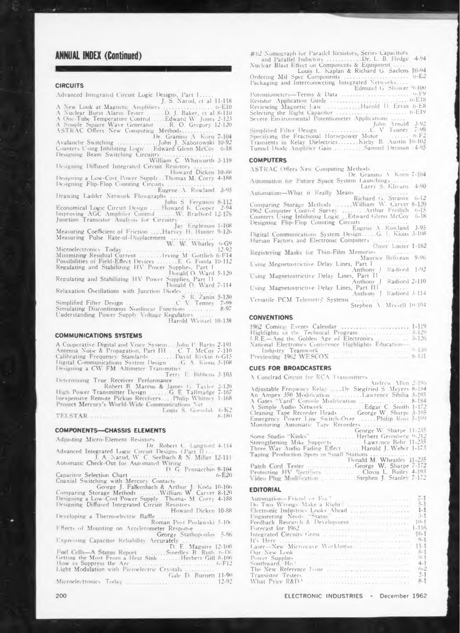# **ANNUAL INDEX (Continued)**

#### **CIRCUITS**

Advanced Integrated Circuit Logic Designs, Part 1.....<br>J. S. Narud, et al 11-118 

uitry<br>William C. Whitworth 3-119

Designing Diffused Integrated Circuit Resistors ........

Designing a Low-Cost Power Supply..Thomas M. Corry 4-188 Designing Flip-Flop Counting Circuits ...

Eugene A. Rowland 3-95

Example Ladder Network Flowgraphs And New Explorer And Network<br>Economical Logic Circuit Design Annual Sergeuson 8-112<br>Improving AGC Amplifier Control And New Market 12-94<br>Junction Transistor Analysis for Circuitry

Junction Transistor Analysis for Circuitry<br>Measuring Coefficient of Friction<br>Measuring Pulse Rate-of-Displacement<br>W. W. Whatley 6-69

Microelectronics Today<br>
Minimizing Residual Current<br>
Minimizing M. Gottlieb 6-F14<br>
Possibilities of Field-Effect Devices<br>
E. G. Fonda 10-112<br>
Regulating and Stabilizing HV Power Supplies, Part 1<br>
Donald O. Ward 5-120<br>
Port

Regulating and Stabilizing HV Power Supplies, Part II

Donald O. Ward 7-114

Relaxation Oscillations with Junction Diodes<br>S. R. Zanin 5-130<br>Simplified Filter Design<br>Simulating Discontinuous Nonlinear Functions<br>8-97<br>8-97 Understanding Power Supply Voltage Regulators Harold Weitzel 10-138

**COMMUNICATIONS SYSTEMS** 

A Cooperative Digital and Voice System.... John P. Barto 2-101<br>Antenna Noise & Propagation, Part III.... C. T. McCoy 7-110<br>Calibrating Frequency Standards 2........ David Rivkin 6-G15<br>Digital Communications System Design..

Terry E. Bibbens 3-103

Determining True Receiver Performance ... Bibbens 3-103<br>Robert B. Marcus & James G. Taylor 2-120<br>High Power Transmitter Design ... G. E. Tallmadge 7-167<br>Inexpensive Remote Pickup Receivers ... Philip Whitney 1-168<br>Project Louis S. Gomolak JoK2

#### **COMPONENTS-CHASSIS ELEMENTS**

Adjusting Micro-Element Resistors

Advanced Integrated Lagic Circuit Designs (Part II)<br>Dr. Robert C. Latigford 4-114<br>Advanced Integrated Lagic Circuit Designs (Part II)<br>Automatic Check-Out for Automated Wiring<br>D. G. Pennacchio 9-104

Capacitor Selection Chart<br>Coaxial Switching with Mercury Contacts<br>Coaxial Switching with Mercury Contacts<br>Comparing Storage Methods ......William W. Carver 8-120<br>Designing a Low-Cost Power Supply. Thomas M. Corry 4-188 Designing Diffused Integrated Circuit Resistors

Howard Dicken 10-88 Developing a Thermoelectric Baffle.

Roman Post Poslawski 5-100 Effects of Mounting on Accelerometer Response ...

Light Modulation with Piezoelectric Crystals<br>Microelectronics Todor<br>Microelectronics Todor<br>Cale D. Burnett 11-90

Microelectronics Today ........... . . . . . . . . . . . . . 12.92

#62 Nomograph for Parailel Resistors, Series Capacitors Edmund G. Shower 9-100 Potentiometers—Terms & Data<br>
Resistor Application Guide<br>
Reviewing Magnetic Law<br>
Severe Environmental Potentiometer Applications<br>
Severe Environmental Potentiometer Applications<br>
Simplified Filter Design<br>
Simplified Filter Potentiometers—Terms & Data<br>Resistor Application Guide Tunnel Diode Amplifier Gain ............ Samuel Derman 4.95

#### **COMPLITERS**

**ASTRAC Offers New Computing Methods** Automation-What it Really Means

Digital Communications System Leoner Computers<br>Human Factors and Electronic Computers Omer Lucier 1-182

Registering Masks for Thin-Film Memories Maurice Beliveau 9-96

Using Magnetostrictive Delay Lines, Part 1<br>
Using Magnetostrictive Delay Lines, Part 11<br>
Using Magnetostrictive Delay Lines, Part 111<br>
Using Magnetostrictive Delay Lines, Part 111<br>
Vermal DON: The Andrea Victorian Using Megnetostrictive Delay Lines, Part I

#### **CONVENTIONS**

1962 Coming Events Calendar<br>
Highlights of the Technical Program<br>
1.29<br>
I.R.E.—And the Golden Age of Electronics<br>
National Electronics Contenence Highlights Education<br>
Industry Teamwork<br>
Previewing 1962 WESCON<br>
2. 1.31

#### **CUES FOR BROADCASTERS**

A Conelrad Circuit for RCA Transmitters<br>Andrew Allen Andrew Allen 2010<br>An Ampex 350 Modification 1100<br>An Ampex 350 Modification 11111.12 Meyers 8-184<br>A Gates "Yard" Console Modification 1111112, 8-184<br>A Simple Audio Network 1111112, Cleaning Tape Recorder Heads<br>Cleaning The George W. Sharpe 11-255 

#### **EDITORIAL**

 $8 - 180$ 

|                                                                                                                                                                                                                                | 54                |
|--------------------------------------------------------------------------------------------------------------------------------------------------------------------------------------------------------------------------------|-------------------|
| Do Two Wrongs Make a Right                                                                                                                                                                                                     | $5-1$             |
| Electronic Industries Looks Ahead [111] [111] [111] [111] [111] [111] [111] [111] [111] [111] [111] [111] [111] [111] [111] [111] [111] [111] [111] [111] [111] [111] [111] [111] [111] [111] [111] [111] [111] [111] [111] [1 | $1 - 1$           |
|                                                                                                                                                                                                                                | $3 - 1$           |
| Feedback Research & Development                                                                                                                                                                                                | $70-7$            |
|                                                                                                                                                                                                                                | $1 - 116$         |
|                                                                                                                                                                                                                                | $10-1$            |
|                                                                                                                                                                                                                                | 0.1               |
|                                                                                                                                                                                                                                | $11 - 1$          |
|                                                                                                                                                                                                                                | $8-1$             |
|                                                                                                                                                                                                                                | $9 - 1$           |
|                                                                                                                                                                                                                                | $4 - 1$           |
|                                                                                                                                                                                                                                | $\frac{6-2}{2-1}$ |
|                                                                                                                                                                                                                                |                   |
|                                                                                                                                                                                                                                | $R - T$           |

ELECTRONIC INDUSTRIES - December 1962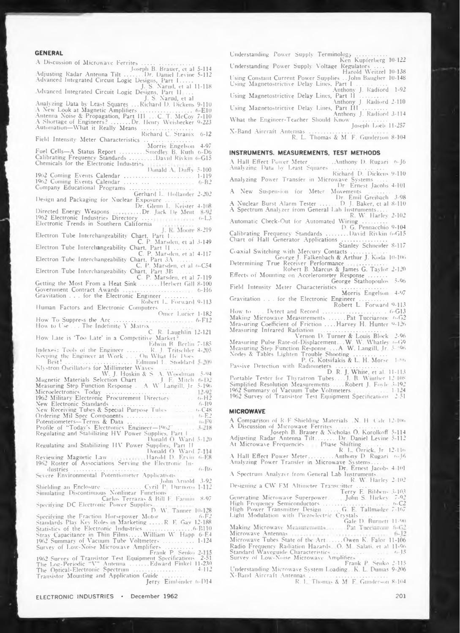**GENERAL**<br>A Discussion of Microwave Ferrites A Discussion of Microwave Ferrites ..... (1990)<br>Joseph B. Brauer, et al 5-114<br>Adjusting Radar Antenna Tilt .......Dr. Daniel Lewine 5-112<br>Advanced Integrated Circuit Logic Designs, Part 11 ...<br>Movanced Integrated Circuit L *J.* **S. Narud, et al Analyzing Data by Least Squares ...Richard D. Dickens 9-110** A New Look at Magnetic Amplifiers<br>Antenna Noise & Propagation, Part III ...C T. McCoy<br>A Shortage of Engineers? ......Dr. IPr. Henry Weishecker<br>Automation—What it Really Means **6-E10 7-110 9-223 Richard C. Stranix 6-12 Field Intensity Meter Characteristics .................................. Morri' Engelson 4-97** Fuel Cells—A Status Report . . . . . . . .<br>Calibrating Frequency Standards . . . . .<br>Chemicals for the Electronic Industries **Smedley B. Ruth 0-D6 David Rivkin 6-G15 Donald A Duffy 5-100 1-119 6-B2** 1962 Coming Events Calendar .........................<br>1962 Coming Events Calendar ............................<br>Company Educational Programs ......... **Gerhard L. Hollander Design and Packaging for Nuclear Exposure ................... Dr. Glenn L Keister 2-202 4-1(18 Directed Energy Weapons <sup>1962</sup> Electronic Industries Directory .... .. .Dr. Jack De Ment (>-L3 Electronic Trends in Southern California 8-219** Interchangeability Chart, Part L........<br>C. P. Marsden, et al<br>Interchangeability Chart, Part II.........<br>C. P. Marsden, et al. **Electron Tube 3-149 Electron Tube 4-117 Electron Tube Interchangeability Chart. Part 3A ...........** C. P. Marsden, et al 6-C54<br>Electron Tube Interchangeability Chart, Part 3B<br>C. P. Marsden, et al 7-119 **Getting the Most From a Heat Sink .............Herbert Gill 8-100 6-H6 Government Contract Awards ......................................... . Gravitation ... for the Electronic Engineer ................... Robert L. Forward 9-113 Human Factors and Electronic Computers ..................... Omer Lucier How To Suppress the Arc ..................... .. How to Use . . . The Indefinite Y Matrix 1-182 6-F12** C. R. Laughlin 12-121<br>How Late is 'Too Late' in a Competitive Market? .....<br>Edwin B. Berlin 7-185 **Indexe': Tools of the Engineer ...............R J. Tritschler Keeping the Engineer at Work . . . On What H< Doe-Best! ....................................... Edmund L. Stoddard 4-205** Klystron Oscillators for Millimeter Waves<br>Magnetic Materials Selection Chart (S. A. Woodman 5-94<br>Measuring Step Function Chart (S. L. J. E. Mitch 6-D2)<br>Measuring Step Function Response (A. W. Langill, Jr. 5-196) Simplified **5-04 5-1% «-H2** 1962 Military Electronic Procurement Directory<br>New Electronic Standards<br>
New Receiving Tubes & Special Purpose Tubes<br>
Ordering Mil Spec Components<br>
Potentiometers—Terms & Data<br>
Profile of "Today's Electronics Engineer—1962 **6-B9 O-C48 6-E2**  $3.718$ **lionaid O. Ward 5-120 Regulating and Stabilizing HV Power Supplie- Part II Reviewing Magnetic Law Donald O. Ward Harold D. Ervin 6-E8 1962 Roster of Associations Serving the Electronic In-6-B6 dustries ....................................................................... . . Severe Environmental Potentiometer Application« .. . John Arnold 3-92 Shielding an Enclosure .......................... Cyril P Durnovo Simulating Discontinuous Nonlinear Function« ............. Carlos Terrazas & Bill F Fannin 8-97 Specifying DC Electronic Power Supplies D. W Tanner 10-128 Specifying the Fraction Horsepower Motor . . 6-F2 Standards Play Key Roles in Marketing.........R. E Gay 12-188 Statistics of tiie Electronic Industries ................................ 6-B110** Stray Capacitance in Thin Films.....William W. Happ<br>1962 Summary of Vacuum Tube Voltmeters ...........<br>Survey of Low-Noise Microwave Amplifiers ........... **6-E4 1-124** Frank P. Senko 2-115<br>1962 Survey of Transistor Test Equipment Specifications - 2-5<br>1988 The Log-Periodic "V" Antenna .......Pdward Finkel 11-23 The Optical-Electrome Spectrum<br>
Transistor Mounting and Application Guide<br>
Jerry Eimbinder 6-D14 **The Optical-Electronic Spectrum ........................................... 4-112 Transistor Mounting and Application Guide ...................**

**\*?**

**Understanding Power Supply Terminology ..................... Ken Kupferberg 10-122 Understanding Power Supply Voltage Regulators .... Harold Weitzel 10-138** Using Constant Current Power Supplies . . John Baugher 10-148<br>Using Magnetostrictive Delay Lines, Part I Anthony **J.** Radford 1-92<br>Using Magnetostrictive Delay Lines, Part II **Using Magnetostrictive Delay Lines, Part II ................... Anthony J. Radford 2-110 Using Magnetostrictive Delay Lines, Part III ................. Anthony J. Radford 3-114 What the Engineer-Teacher Should Know ....................... Joseph Loeb 11-257**

**X-Band Aircraft Antennas ................................................. .. R. L. Thomas & M. F. Gunderson 8-104**

#### **INSTRUMENTS. MEASUREMENTS, TEST METHODS**

**A Hall Effect Power Meter .................Anthony D. Rugari f>-J6 Analyzing Data by Least Squares ...................................... Richard D. Dicken« 9-110**

**Analyzing Power Transfer in Microwave Systems .... Dr. Ernest Jacobs 4-101**

**<sup>A</sup> New Suspension for Meter Movements ...........**

**Dr. Emil Greibach 3-98**  $A$  **Nuclear** Burst Alarm Tester ... **A Spectrum Analvzer from General Lab Instruments....**

**R. W Harley 2-102 Automatic Clieck-Out for Automated Wiring ................. D. G. Pennacchio 9-104**

**Calibrating Frequency Standards ...............David Rivkin 6-G15**

**Chart of Hall Generator Applications ................................ Stanley Schneider 8-117**

**Coaxial Switching with Mercury Contacts.......................... George J. Falkenbach & Arthur J. Koda 10-106 Determining True Receiver Performance ............................ Robert B. Marcus & James G. Taylor 2-120 Effects of Mounting on Accelerometer Response .............**

**George Stathopoulos 5-96 Field Intensity Meter Characteristics ................................ Morris Engelson 4-97**

**Gravitation . . . for the Electronic Engineer ................... Robert L. Forward 9-113**

**How to . . . Detect and Record ............................................. 6-G13 Making Microwave Measurements ...........Pat Tucciarone O-G2 Measuring Coefficient of Friction ....Harvey H. Hunter 9-126 Measuring Infrared Radiation .................................................**

**Vernon D. Turner & Louis Bbx'k 2-96 Measuring Pulse Rate-of-Displacement. .W. W. Whatley o-G9 Measuring Step Function Response ...A. W. Langill. Jr. <sup>5</sup> '06 Nodes & Tables Lighten Trouble Shooting ....................... P. G. Kotsifakis & L. H. Morse <sup>1</sup> "f>**

Passive Detection with Radiometers<br>D. R. J. White, et al. 11-113<br>Portable Tester for Thyratron Tubes.....J. B. Winther 12 108<br>Simplified Resolution Measurements.....Robert J. Foyle 3-192 1962 Summary of Vacuum Tube Voltmeters . . . . . . . . . . . 1-124<br>1962 Survey of Transistor Test Equipment Specifications - 2-51

#### **MICROWAVE**

A Comparison of R-F Shielding Materials (N. H. Calc. 12-106)<br>A Discussion of Microwave Ferrites<br>Adjusting Radar Antenna Tilt.......Dr. Daniel Levine 5-114<br>Adjusting Radar Antenna Tilt.......Dr. Daniel Levine 5-112<br>At Micro

A Hall Effect Power Meter.........Anthony D. Rugari (6-16).<br>Analyzing Power Transfer in Microwave Systems......<br>Dr. Ernest Jacobs 4-101

**A Spectrum Analvzer from General Lab Instrument« R. W. Harley 2 102 Designing a CW FM Altimeter Transmitter ..................... Terry E. Bihbcns 3-103 Generating Microwave Superpower. John S. Hickey 7-92 High Frequency Semiconductors .............................................. t>-C2**

**High Power Transmitter Design .......... G E. Tallmadge 7-167**

**Light Modulation with Piezoelectric Crystals ................. Gale D. Burnett 11-90 Making Microwave Measurements**.... Pat Tucciarome 6-62 **Microwave Antenna« Microwave Tubes State of the Art.......... Owen K. Falor 11-1Ö6**

Radio Frequency Radiation Hazards - O. M. Salati, et al 11-96<br>Standard Waveguide Characteristics - O. O. 15, 15, 15, 16, 15<br>Survey of Low-Noise Microwave Amplifiers - 2007-001-001 **Frank P. Senko 2-115**

**Understanding Microwave System Loading.. K. L. Dumas 9-206 X-Band Aircraft Antennas ....................................................... R. 1. Thomas X M. F Gunderson 8-164**

201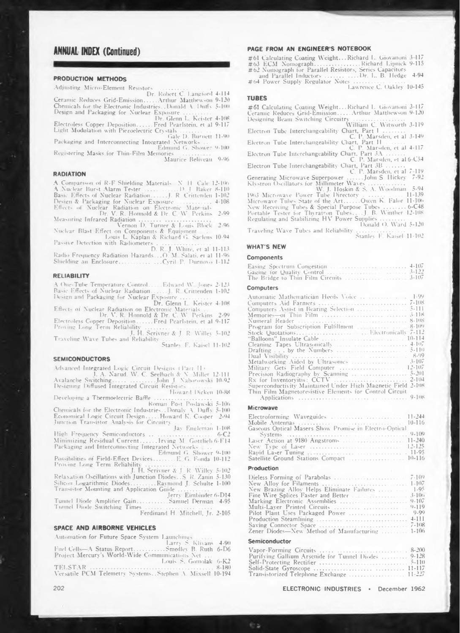# **ANNUAL INDEX (Continued)**

#### **PRODUCTION METHODS**

**Adjusting Micro-Element Resistors ..................... ................**

**Dr. Robert C. Langford 4-114 Ceramic Reduces Grid-Emission........ Arthur Mattliewson 9-120** Chemicals for the Electronic Industries. , Donald A. Duffy 5-100<br>Design and Packaging for Nuclear Exposure ...........

**Dr. Glenn L. Keister 4-108**  $E$ *lectroless* **Copper Deposition... Light Modulation with Piezoelectric Crystals.....................**

**Gale D. Burnett 11-90 Packaging and Interconnecting Integrated Networks ...**

**Edmund G. Shower 9-100 Registering Masks for Thin-Film Memories ................... Maurice Beliveau 9-96**

#### **RADIATION**

**A Comparison of R-F Shielding Material- N H Cab 12-106 A Nuclear Burst Alarm Tester...........................D. <sup>J</sup> Baker 8-110 Ba-ic Effects of Nuclear Radiation.......... J. R Crittenden 1-102 Design & Packaging for Nuclear Exposure.......................... 4-108 Effects <>l Nuclear Radiation on Electronic Mate ials Dr. V. R. Honnold & Dr. C W Perkins 2-99**

**Measuring Infrared Radiation............... .............................. Vernon D. Turner & Louis Hock 2-96 Nuclear Blast Effect on Components &- Equipment . . . Louis L. Kaplan & Richard G Saclens 10-94**

**Pa-ice Detection with Radiometers . .................................. D. R J. White, et al 11-115 Radio Frequency Radiation Hazards...O. M Salati, et al <sup>11</sup> -96 Shielding an Enclosure...............................Cyril P. Durnovo 1-112**

#### **RELIABILITY**

A One-Tube Temperature Control......Edward W. Jones 2-12.<br>Basic Effects of Nuclear Radiation.......1. R. Crittenden 1-10.<br>Design and Packaging for Nuclear Exposure .............

**Dr. Glenn L. Keister 4-108** Effects of Nuclear Radiation on Electronic Materials...<br>Dr. V. R. Honnold & Dr. C. W. Perkins. 2-99

**Electroless Copper Deposition.......... Fred Pearlstein, et al 9-117 Proving Long Tenn Reliahilitv ...............................................**

L. H. Serivner & J. R. Willey 5-102<br>Traveling Wave Tubes and Reliability<br>Stanley F. Kaisel 11-102

#### **SEMICONDUCTORS**

**Advanced Integrated Logic Circuit Designs (Part ID J. A. Narud. W. C. Seelbach & N Miller 12-111 Avalanche Switching...............................John J Nabomuski 10-92 De-igning Diffused Integrated Circuit Resistor- ...............**

Howard Dicken 10-88 **Developing a Thermoelectric Baffle ........................................ Roman Post Poslawski 5-106**

**Chemicals for the Electronic Industries. .Donaly A. Duffy 5-100** Economical Logic Circuit Design..... Howard K. Cooper - 2-94<br>Junction Transistor Analysis for Circuitry<br>Jay Engleman 1-108

**High Frequency Semiconductors ............................................. 6-C2 Minimizing Residual Current........... Irving M Gottlieb 6-1'14 Packaging and Interconnecting Integrated Network- ... Edmund G. Shower 9-100 Possibilities of Field-Effect Devices.............. E G. Fonda 10-112**

**Proving Long Term Reliahilitv ......................... .................. J. H. Scrivner A- J. R. Willey 5-102 Relaxation Oscillations with Junction Diode-..S. R. Zanin 5-130 Silicon Ligarithmic Diodes................. Raymond J. Schulte 1-100**

Transistor Mounting and Application Guide<br>Jerry Eimbinder 6-D14<br>Tunnel Diode Amplifier Gain...........Samuel Derman 4-95

**Tunnel Diode Switching Times ...............................................**

**Ferdinand H. Mitchell, Jr. 2-105**

### **SPACE AND AIRBORNE VEHICLES**

**Automation for Future Space System Launching- .......... Larry S. Klivans 4-90 Fuel Cell-—A Status Report...................... Smedley B. Ruth 6-D6 Project Mercury'<sup>s</sup> World-Wide Communications Net ... Louis S. Gomolak 6-K2 TELSTAR .............................................................................. 8-1») Versatile PCM Telemetry Systems. .Stephen A. Mixsell 10-194**

#### **PAGE FROM AN ENGINEER S NOTEBOOK**

**# <sup>61</sup> Calculating Coating Weight... Richard 1- Giovanoni <sup>3117</sup>** #63 ECM Nomograph...............Richard Lipnick 9-11<br>#62 Nomograph for Parallel Resistors, Series Capacitors

**and Parallel Inductors....................... Dr. L. B. Hedge 4-94 # <sup>64</sup> Power Supply Regulator Notes ............................... \_**

**Lawrence C. Oakley 10-145**

**TUBES**<br>
#61 Calculating Coating Weight...Richard L. Giovanoni 3-117<br>
Ceramic Reduces Grid-Emission.....Arthur Matthewson 9-120<br>
Designing Beam Switching Circuity<br>
William C. Witworth 3-119<br>
Electron Tube Interchangeabilit

**Electron Tube Interchangeability Chart. Part 3A ............. C. P. Marsden, et al 6-C54**

**Electron Tube Interchangeability Chart, Part 3B ............. C. P. Marsden, et al 7-119**

**Generating Microwave Superpower...........John S. Hickey 7-92 Klvstron Oscillators for Millimeter Waves ......................... W. J. Hoskin & S. A. Woodman 5-94 19<>3 Microwave Power Tube Directory . .........\_............. 11-139 Microwave Tube- State of the Art...........Owen K. Falor ll-lCX» New Receiving Tubes & Special Purpose Tubes .................6-C48 Portable Tester for Thyratron Tubes....J. B. Winther 12-108 Regulating and Stabilizing HV Power Supplies.................**

**Donald O. Ward 5-120 Traveling Wave Tubes and Reliability .................................. Stanley F. Kaisei 11-102**

#### **WHAT'S NEW**

### **Components**

| Traveling Wave Tubes and Reliability<br>Stanley F. Kaisel 11-102                                                                                                                                                                                                  |
|-------------------------------------------------------------------------------------------------------------------------------------------------------------------------------------------------------------------------------------------------------------------|
| <b>WHAT'S NEW</b>                                                                                                                                                                                                                                                 |
| Components                                                                                                                                                                                                                                                        |
|                                                                                                                                                                                                                                                                   |
| Computers                                                                                                                                                                                                                                                         |
| Cleaning Tapes Ultrasonically   4-107<br>$3 - 107$<br>Military Gets Field Computer  12-107<br>Precision Radiography by Scanning  5-201<br>Superconductivity Maintained Under High Magnetic Field 2-108<br>Thin Film Magnetoresistive Elements for Control Circuit |
| <b>Microwave</b>                                                                                                                                                                                                                                                  |
| 10.116<br>$X \in \{1, 1, 2, \ldots, n\}$                                                                                                                                                                                                                          |

| Precision Radiography by Scanning $\ldots$ $\ldots$ $\ldots$ $\ldots$ $\ldots$ $\ldots$ $\ldots$<br>Superconductivity Maintained Under High Magnetic Field 2-108<br>Thin Film Magnetoresistive Elements for Control Circuit |
|-----------------------------------------------------------------------------------------------------------------------------------------------------------------------------------------------------------------------------|
| <b>Microwave</b>                                                                                                                                                                                                            |
| Gaseous Optical Masers Show Promise in Electro-Optical<br>Laser Action at 9180 Angstroms  11-240<br>Satellite Ground Stations Compact  10-116                                                                               |
| Production                                                                                                                                                                                                                  |
| New Brazing Alloy Helps Eliminate Failures   1-95<br><b>Eine Wire Splices Faster and Better Eine Community</b> 3-100                                                                                                        |

#### **Production**

| Satellite Ground Stations Compact  10-116                                                                                             |           |
|---------------------------------------------------------------------------------------------------------------------------------------|-----------|
| Production                                                                                                                            |           |
| New Brazing Alloy Helps Eliminate Failures   1-95<br>Marking Electronic Assemblies<br>Zener Diodes-New Method of Manufacturing  1-106 | $9 - 107$ |
| <b>Semiconductor</b>                                                                                                                  |           |
| Vapor-Forming Circuits   8-200<br>Purifying Gallium Arsenide for Tunnel Diodes  9-128                                                 |           |

#### **Semiconductor**

| Purifying Gallium Arsenide for Tunnel Diodes  9-128 |  |
|-----------------------------------------------------|--|
|                                                     |  |
|                                                     |  |
|                                                     |  |
|                                                     |  |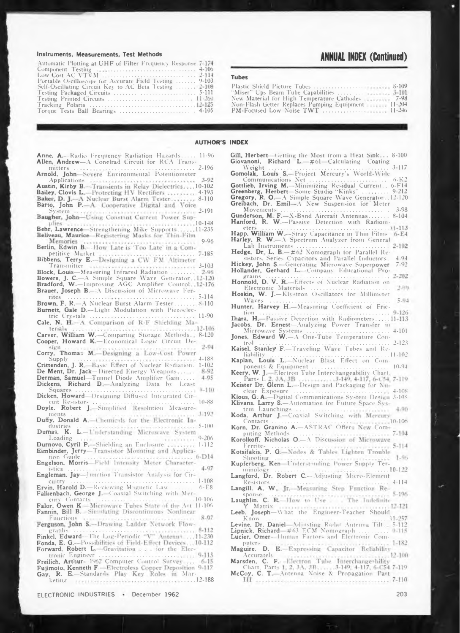#### Instruments, Measurements, Test Methods

| Automatic Plotting at UHF of Filter Frequency Response 7-174 |  |
|--------------------------------------------------------------|--|
|                                                              |  |
|                                                              |  |
| Portable Oscilloscope for Accurate Field Testing  9-103      |  |
| Self-Oscillating Circuit Key to AC Beta Testing  2-108       |  |
|                                                              |  |
|                                                              |  |
|                                                              |  |
|                                                              |  |

Anne, A.-Radio Frequency Radiation Hazards..... 11-96 Allen, Andrew-A Conelrad Circuit for RCA Trans-

# **ANNUAL INDEX (Continued)**

### Tubec

| "Miser" Ups Beam Tube Capabilities     3-101             |
|----------------------------------------------------------|
| New Material for High Temperature Cathodes  7-98         |
| Non-Flash Getter Replaces Pumping Equipment 2002-201-204 |
|                                                          |
|                                                          |

#### **AUTHOR'S INDEX**

| Arnold, John-Severe Environmental Potentiometer            |
|------------------------------------------------------------|
|                                                            |
| Austin, Kirby B.-Transients in Relay Dielectrics10-102     |
| Bailey, Clovis L.-Protecting HV Rectifiers  4-193          |
| Baker, D. J.--A Nuclear Burst Alarm Tester 8-110           |
| Barto, John P.-A. Cooperative Digital and Voice            |
|                                                            |
| Baugher, John-Using Constant Current Power Sup-            |
|                                                            |
| Behr, Lawrence-Strengthening Mike Supports11-235           |
| Beliveau, Maurice-Registering Masks for Thin-Film          |
| 9.96                                                       |
| Berlin, Edwin B.-How Late is 'Too Late' in a Com-          |
|                                                            |
| Bibbens, Terry E.--Designing a CW FM Altimeter             |
| Transmitter and conservation of the contract of 3-103      |
| Block, Louis-Measuring Infrared Radiation  2-96            |
| Bowers, J. C.-A Simple Square Wave Generator, 12-120       |
| Bradford, W.-Improving AGC Amplifier Control, 12-176       |
| Brauer, Joseph B.- A Discussion of Microwave Fer-          |
|                                                            |
| Brown, F. R.-A Nuclear Burst Alarm Tester 8-110            |
| Burnett, Gale D.-Light Modulation with Piezoelec-          |
|                                                            |
| Cale, N. H.-A Comparison of R-F Shielding Ma-              |
| terials $\ldots$                                           |
| Carver, William W.-Comparing Storage Methods., 8-120       |
| Cooper, Howard K.-Economical Logic Circuit De-             |
| 2-94                                                       |
| Corry, Thomas M.-Designing a Low-Cost Power                |
|                                                            |
| Crittenden, J. R.-Basic Effect of Nuclear Radiation. 1-102 |
| De Ment, Dr. Jack-Directed Energy Weapons<br>8-92          |
| 4.95<br>Derman, Samuel-Tunnel Diode Amplitier Gain         |
| Dickens, Richard D. Analyzing Data by Least                |
| $0 - 110$                                                  |

Dicken, Howard-Designing Diffused Integrated Cir- $10 - 88$ 

 $3 - 19$ <sup>\*</sup> ments Duffy, Donald A.-Chemicals for the Electronic In-

 $5 - 100$ dustrie Dumas, K. L.-Understanding Microwave System

 $0.206$ Loading **\*\*\*\*\*\*\*\*\*\*** Durnovo, Cyril P.-Shielding an Enclosure ...........<br>Eimbinder, Jerry-Transistor Mounting and Applica- $1 - 112$ 

 $6-D14$ tion Guide Engelson, Morris-Field Intensity Moter Character-

4.97 istics Engleman. Jay-lunction Transistor Analysis for Cir-

.......... 1-108 cuitry Ervin, Harold D .- Reviewing Magnetic Law  $6-E8$ Falkenbach, George J.-Coaxial Switching with Mer-

 $10 - 106$ cury Contacts Falor, Owen K .- Microwave Tubes State of the Art. 11-106

Fannin, Bill B.-Simulating Discontinuous Nonlinear 8.97 Functions

Ferguson, John S.-Drawing Ladder Network Flow- $8 - 112$ graph  $(1.11)$ 

Finkel, Edward-The Log-Periodic "V" Antenny....11-230 Fonda, E. G .- Possibilities of Field-Effect Devices  $-10-112$ Forward, Robert L.-Gravitation . . . for the Elec-

**CALLES 9-113** tronic Engineer Freilich, Arthur-1962 Computer Control Survey.  $6 - 15$ Fujimoto, Kenneth F.-Electroless Copper Deposition 9-117 R. E-Standards Play Key Roles in Mar-Gay, keting <sub>isteri</sub> is seen successive as a series a ... . . 12-188

ELECTRONIC INDUSTRIES · December 1962

| Gill, Herbert—Getting the Most from a Heat Sink 8-100 |  |  |  |
|-------------------------------------------------------|--|--|--|
| Giovanoni, Richard $L = #61 - Calculating$ Coating    |  |  |  |
|                                                       |  |  |  |

Weight Gomolak, Louis S. Project Mercury's World-Wide Communications Net ...  $6 - h^{-3}$  $1.1.1.1$ 

Gottlieb, Irving M.-Minimizing Residual Current...  $6 - F14$ Greenberg, Herbert—Some Studio "Kinks" .......... 9-212<br>Greenberg, Herbert—Some Studio "Kinks" .......... 9-212 Greibach, Dr. Emil-A New Suspension for Meter

Movements 3.98  $8 - 104$ 

 $.11 - 113$ eter

Happ, William W .- Stray Capacitance in Thin Films  $6-E4$ Harley, R. W.-A Spectrum Analyzer from General

Lab Instruments  $2 - 102$ Hedge, Dr. L. B.-#62 Nomograph for Parallel Re-

sistors, Series Capacitors and Parallel Inductors.  $4.04$ Hickey, John S.-Generating Microwave Superpower  $7.92$ 

Hollander, Gerhard L.-Company Educational Pro- $2.202$ 

Honnold, D. V. R. Effects of Nuclear Radiation on<br>Electronic Materials 2,319

Hoskin, W. J.-Klystron Oscillators for Millimeter  $W$ ave  $5.04$ Hunter, Harvey H.-Measuring Coefficient of Fric-

 $0.126$ tion Thara, H.-Passive Detection with Radiometers...  $11 - 113$ 

Jacobs, Dr. Ernest-Analyzing Power Transfer in 1.101

 $2 - 123$ trol

Kaisel, Stanley F.-Traveling Wave Tubes and Re- $11.10<sup>2</sup>$ liabilit

Kaplan, Louis L. Nuclear Blast Effect on Components & Equipment  $10.91$ 

Keister Dr. Glenn L. Design and Packaging for Nuclear Exposure 4.108 Kious, G. A.-Digital Communications System Design 3-108

Klivans, Larry S.- Automation for Future Space Sys-Launchings  $4.00.1$ tem

Koda, Arthur J.-Coaxial Switching with Mercury  $10 - 106$ Contacts

Korn, Dr. Granino A .- ASTRAC Offers New Computing Methods  $7-104$ 

Korolkoff, Nicholas O.-A Discussion of Microwave  $5 - 114$ Ferrite

Kotsifakis, P. G.-Nodes & Tables Lighten Trouble  $1.06$ Shooting

Kupferberg, Ken-Understanding Power Supply Ter-

 $10 - 122$ minolor Langford, Dr. Robert C.-Adjusting Micro-Element  $4 - 114$ Resistor

Langill, A. W., Jr.-Measuring Step Function Re-

 $5.196$  $50015e$ Laughlin. C. R.-Ilow to Use. The Indefinite

Matrix  $12 - 121$ Leeb. Joseph-What the Engineer-Teacher Should

 $11.257$ Know Levine, Dr. Daniel Adjusting Radar Antenna Tilt<br>Lipnick, Richard #63 ECM Nomograph  $7.112$ 

 $0 - 115$ Lucier, Omer-Human Factors and Electronic Com-

puters  $1 - 182$ Maguire, D. E.-Expressing Capacitor Reliability

Accurately  $-12 - 100$ 

Accurately<br>Marsden, C. P. Electron Tube Interchange-bility<br>Chart, Parts 1, 2, 3A, 3B, ..., 3-149, 4-117, 6-C54 7-119<br>McCoy, C. T. Antenna Noise & Propagation Part

 $7 - 110$ III announcement contracto the company of the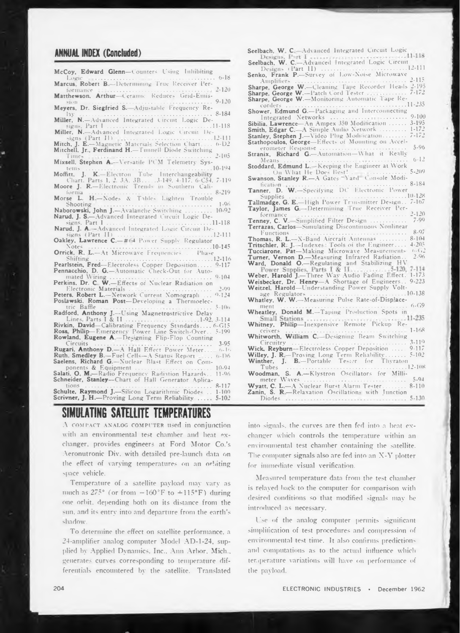## **ANNUAL INDEX (Concluded)**

**McCoy, Edward Glenn—Counters Using Inhibiting**

**Marcus Robert B -Determining True Receiver Per-**

- **LOGICIAL CONCLUDED**<br> **Logic**<br> **Logic**<br> **Logic**<br> **Logic**<br> **Logic**<br> **Cormance**<br> **Cormance**<br> **Cormance**<br> **Cormance**<br> **Cormance**<br> **Cormance**<br> **Cormance**<br> **Cormance**<br> **Cormance**<br> **Cormance**<br> **Cormance**<br> **Cormance**<br> **Cormance**<br> **formance ............................. ........................ 2-120 Marthewson. Arthur -Ceramic Reduces Grid-Emis-**
- **-i,m ............................................................................... 9-120 Meyers, Dr. Siegfried S. Adjustable frequency Re-**

lay<br>**Miller, N.**—Advanced Integrated Circuit Logic De-

- **signs. Part I ............................................................................11-118 Miller. N.—Adv anced Integrated Logic Circuit De-**
- **signs (Part II) ............................................ 12-111 Mitch, J. E.— Magnetic Material- Selection Chart ... 6-D2 Times ................................................. 2-105**

**Mitchell, Jr., Ferdinand H.—Tunnell Diode Switching**

**Mixsell. Stephen A -Versatile PCM Telemetry Sys-**

Moffitt, J. K.-Electron Tube Interchangeability<br>Chart. Parts 1, 2, 3A, 3B, ..., 3-149, 4-117, 6-C54,

**Moore J. R.—Electronic Trend- in Southern Cali-**

formia<br>**Morse L. H.**-Nodes & Tables Lighten Trouble

Shooting<br>Naborowski, John J.—Avalanche Switching<br>10-92

**Narud, J. S.—Advanced Integrated Circuit Logic De-**

**signs. Part <sup>1</sup> ..........................................................................11-118 Narud, J. A.—Advanced Integrated Logic Circuit De-signs (Part II) ......................................................... 12-111**

**Oakley. Lawrence C.**<sup> $#$ (4</sub> **Power** Supply Regulator Notes</sup>

**Orrick, R L.—At Microwave Frequencies . . Phase**

**Note:**<br> **Note:**<br> **Note:**<br> **Note:**<br> **Note:**<br> **Note:**<br> **Note:**<br> **Note:**<br> **Note:**<br> **Note:**<br> **Note:**<br> **Note:**<br> **Note:**<br> **Note:**<br> **Note:**<br> **Note:**<br> **Note:**<br> **Note:**<br> **Note:**<br> **Note:**<br> **Note:**<br> **Note:**<br> **Note:**<br> **Note:**<br> **Note: Shifting .......................................................... 12-116 Pearlstein, Fred—Electroless Copper Deposition........... 9-117 Pennacchio, D. G.—Automatic Check-Out for Auto-**

**mated Wiring...................... 9-104 Perkins. Dr. C W.—Effect- of Nuclear Radiation on racchio, D. G.**—Automatic Check-Out for Automated Wiring<br>
ins, Dr. C. W. —Effects of Nuclear Radiation on<br>
Electronic Materials<br> **FR. Robert L.—Network Current Nomograph**<br> **1.24**<br> **1.24**<br> **1.24**<br> **1.5.106**<br> **1.5.106**<br> **1.** 

**Electronic Materials ........................................................... 2-99 Peters. Robert L.—Network Current Nomograph.... 0-124**

**Poslawski, Roman Post—Developing a Thermoelec-**

**Radford, Anthony J.—L'sing Magnetrostnctive Delay**

**Lines, Parts <sup>I</sup> & II........................ 1-92, 3-114** Rivkin, David-Calibrating Frequency Standards.... 6-G15<br>Ross, Philip-Emergency Power Line Switch-Over... 5-199 **Rowland. Eugene A.—Designing Flip-Flop Counting Circuits ............. 3-95 Rugari. Anthony D.**<br>**Ruth. Smedley B.**—Fuel Cells—A Status Report... (a-16) Ruth. Smedley B.-Fuel Cells-A Status Report ..... 0-116<br>Saelens, Richard G.-Nuclear Blast Effect on Com**ponents & Equipment ...................................................... 10-94 Salati, <sup>O</sup> M—Radio Frequency Radiation Hazards., 11-96 Schneider, Stanley—Chart of Hall Generator Aplica-**

tions<br>**Schulte, Raymond J.**—Silicon Logarithmic Diodes . . 1-100 **Scrivner, J. H.—Proving Long Term Reliability ......... 5-102**

# **SIMULATING SATELLITE TEMPERATURES**

A COMPACT ANALOG COMPUTER used in conjunction with an environmental test chamber and heat exchanger, provides engineers at Ford Motor Co.'s Aeronutronic Div. with detailed pre-launch data on the effect of varying temperatures on an orbiting space vehicle.

Temperature of a satellite payload may vary as much as  $275^{\circ}$  (or from  $-160^{\circ}$ F to  $+115^{\circ}$ F) during one orbit, depending both on its distance from the sun. and its entry into and departure from the earth's sliadow.

To determine the effect on satellite performance, a 24-amplifier analog computer Model AD-1-24, supplied by Applied Dynamics. Inc.. Ann Arbor. Mich., generates curves corresponding to temperature differentials encountered by the satellite. Translated

**Seelbach, W C Advanced Integrated Circuit Logic Seelbach, W. C.—Advanced Integrated Logic Circuit Designs (Part II) ......................... 12-111 Senko, Frank P.—Survey of Low-Noise Microwave \_** Amplifiers<br> **Sharpe, George W.—** Cleaning Tape Recorder Heads 2-195<br> **Sharpe, George W.—** Patch Cord Tester<br> **Sharpe, George W.—** Monitoring Automatic Tape Re**corders ...........................................................................11-235 Shower, Edmund G.—Packaging and Interconnecting** Amplifiers<br> **IPE, George W.—Cleaning Tape Recorder Heads 2-195**<br> **IPE, George W.—Monitoring Automatic Tape Recorders**<br> **INTER CONDITE:**<br> **INTER CONDITE:**<br> **INTER CONDITE:**<br> **INTER CONDITE:**<br> **INTER CONDITE:**<br> **INTER CONDIT Sibilia, Lawrence—An Ampex 350 Modification 3-195 Smith, Edgar C. A Simple Audio Network ................ 1-172 Stanley, Stephen J.—Video Plug Modification................ 7-172** Stathopoulos, George-Effects of Mounting on Accel-<br>erometer Response **Stranix, Richard G.—Automation— What it Reallv Means ..................... ............. .......................... 6-12 Stoddard, Edmund L -Keeping the Engineer at Work .**  $\dot{\text{On}}$  What He Does Best **Swanson. Stanley R.—A Gates Yard Console Modi-Tanner, D. W.—Specifying DC Electronic Power** Supplies<br>
Tallmadge, G. E.-High Power Transmitter Design. 7-107 **Taylor, James G. -Determining 1'rue Receiver Performance ......................................................................... 2-120 Tenney, C. V •'implitied FilterDesign ........................... 7-99 Terrazas, Carlos—Simulating Discontinuous Nonlinear Functions**<br> **Functions**<br> **Reprise to the Second Aircraig Automase 8.104 Thomas, R. L.—X-BandAircraftAntennas ....................... 8-104 Tritschler, R J. -Indexes Tools of the Engineer.... 4-205 Tucciarone, Pat—Making Microwave Measurements '"G2 Turner, Vernon D.—Measuring Infrared Radiation.. 2-96 Ward, Donald O.—Regulating and Stabilizing HV** Weber, Harold J.—Three Way Audio Fading Effect. 1-173<br>Weisbecker, Dr. Henry—A Shortage of Engineers.. 9-223 **Weitzel, Harold—Understanding Power Supply Volt**age Regulators<br>
Whatley, W. W.—Measuring Pulse Rate-of-Displace-<br>
ment **Wheatley, Donald M.—Taping Production Spots in Whitney, Philip—Inexpensive Remote Pickup Re-ceivers ........................................................................ 1-168 Whitworth, William C. -Designing Beam Switching Circuitry ................................................................................ 3-116 Wick, Reyburn—Electroless Copper Depo-ition ........ 9-117 Willey, J. R —Proving Long Term Reliability............. 5-102 Winther, J. B—Portable Tester for Thyraton Tubes ...................................................................................... 12-108 Woodman, S. A.—Klystron Oscillators for Millimeter Waves ....................................................... 5-94 Wyatt, C. L.—A Nuclear Burst Alarm Tester................8-110**

into signals, the curves are then fed into a heat exchanger which controls the temperature within an environmental test chamber containing the satellite. The computer signals also are fed into an X-Y plotter for immediate visual verification.

**Zanin, S. R,—Relaxation Oscillation- with Junction Diodes ...................................................................................... 5-130**

Measured temperature data from the test chamber is relayed back to the computer for comparison with desired conditions so that modified signals may be introduced as necessary.

Use of the analog computer permits significant simplification of test procedures and compression of environmental test time. It also confirms predictionand computations as to the actual influence which ter.qierature variations will have on performance of the payload.